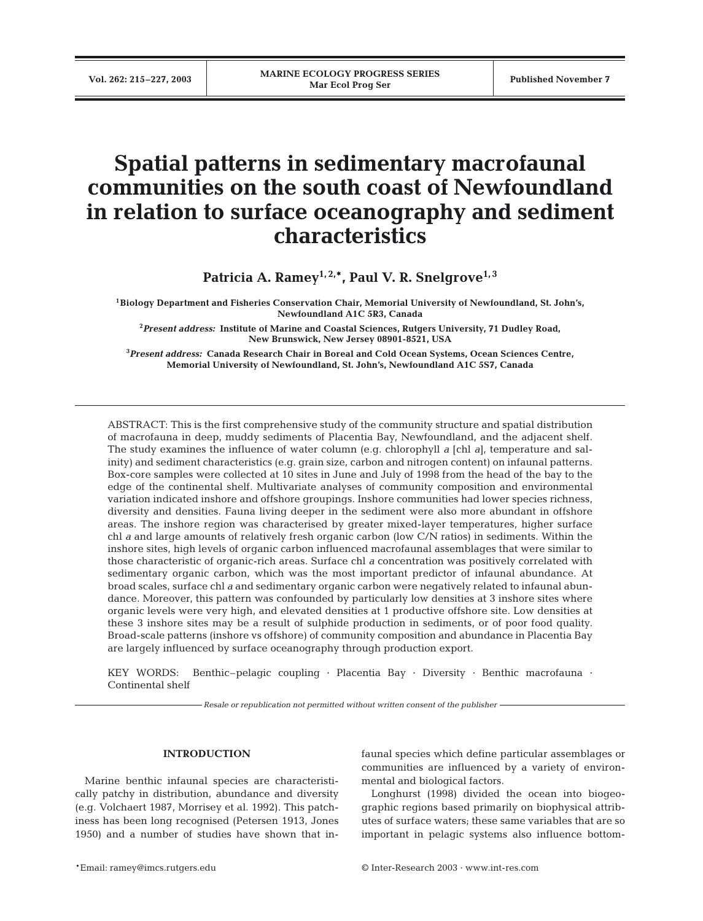# **Spatial patterns in sedimentary macrofaunal communities on the south coast of Newfoundland in relation to surface oceanography and sediment characteristics**

Patricia A. Ramey<sup>1, 2,\*</sup>, Paul V. R. Snelgrove<sup>1,3</sup>

**1Biology Department and Fisheries Conservation Chair, Memorial University of Newfoundland, St. John's, Newfoundland A1C 5R3, Canada** 

**2** *Present address:* **Institute of Marine and Coastal Sciences, Rutgers University, 71 Dudley Road, New Brunswick, New Jersey 08901-8521, USA**

**3** *Present address:* **Canada Research Chair in Boreal and Cold Ocean Systems, Ocean Sciences Centre, Memorial University of Newfoundland, St. John's, Newfoundland A1C 5S7, Canada**

ABSTRACT: This is the first comprehensive study of the community structure and spatial distribution of macrofauna in deep, muddy sediments of Placentia Bay, Newfoundland, and the adjacent shelf. The study examines the influence of water column (e.g. chlorophyll *a* [chl *a*]*,* temperature and salinity) and sediment characteristics (e.g. grain size, carbon and nitrogen content) on infaunal patterns. Box-core samples were collected at 10 sites in June and July of 1998 from the head of the bay to the edge of the continental shelf. Multivariate analyses of community composition and environmental variation indicated inshore and offshore groupings. Inshore communities had lower species richness, diversity and densities. Fauna living deeper in the sediment were also more abundant in offshore areas. The inshore region was characterised by greater mixed-layer temperatures, higher surface chl *a* and large amounts of relatively fresh organic carbon (low C/N ratios) in sediments. Within the inshore sites, high levels of organic carbon influenced macrofaunal assemblages that were similar to those characteristic of organic-rich areas. Surface chl *a* concentration was positively correlated with sedimentary organic carbon, which was the most important predictor of infaunal abundance. At broad scales, surface chl *a* and sedimentary organic carbon were negatively related to infaunal abundance. Moreover, this pattern was confounded by particularly low densities at 3 inshore sites where organic levels were very high, and elevated densities at 1 productive offshore site. Low densities at these 3 inshore sites may be a result of sulphide production in sediments, or of poor food quality. Broad-scale patterns (inshore vs offshore) of community composition and abundance in Placentia Bay are largely influenced by surface oceanography through production export.

KEY WORDS: Benthic–pelagic coupling · Placentia Bay · Diversity · Benthic macrofauna · Continental shelf

*Resale or republication not permitted without written consent of the publisher*

## **INTRODUCTION**

Marine benthic infaunal species are characteristically patchy in distribution, abundance and diversity (e.g. Volchaert 1987, Morrisey et al. 1992). This patchiness has been long recognised (Petersen 1913, Jones 1950) and a number of studies have shown that in-

faunal species which define particular assemblages or communities are influenced by a variety of environmental and biological factors.

Longhurst (1998) divided the ocean into biogeographic regions based primarily on biophysical attributes of surface waters; these same variables that are so important in pelagic systems also influence bottom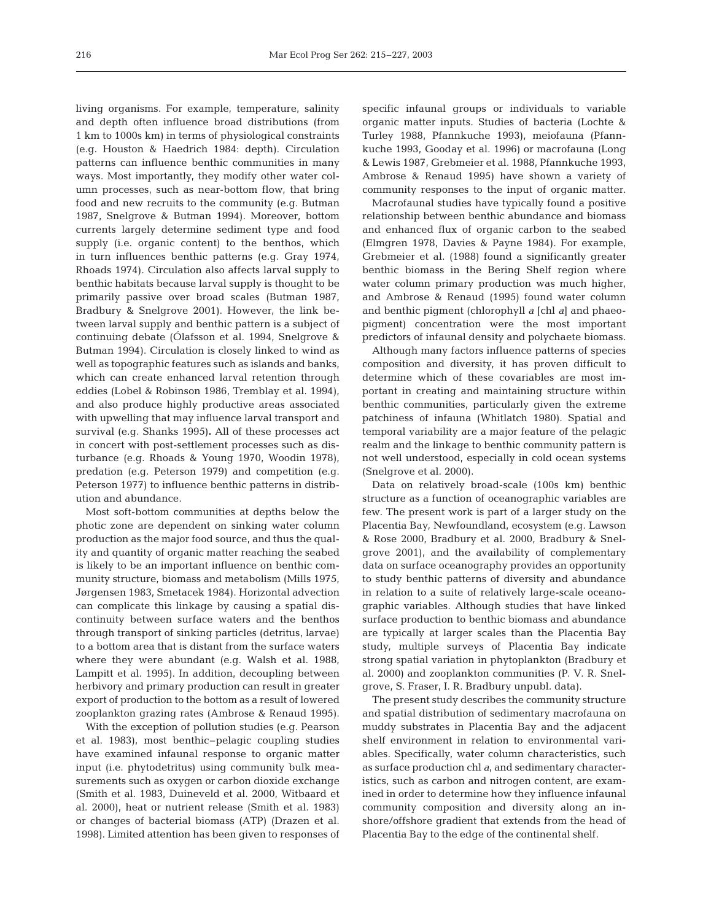living organisms. For example, temperature, salinity and depth often influence broad distributions (from 1 km to 1000s km) in terms of physiological constraints (e.g. Houston & Haedrich 1984: depth). Circulation patterns can influence benthic communities in many ways. Most importantly, they modify other water column processes, such as near-bottom flow, that bring food and new recruits to the community (e.g. Butman 1987, Snelgrove & Butman 1994). Moreover, bottom currents largely determine sediment type and food supply (i.e. organic content) to the benthos, which in turn influences benthic patterns (e.g. Gray 1974, Rhoads 1974). Circulation also affects larval supply to benthic habitats because larval supply is thought to be primarily passive over broad scales (Butman 1987, Bradbury & Snelgrove 2001). However, the link between larval supply and benthic pattern is a subject of continuing debate (Ólafsson et al. 1994, Snelgrove & Butman 1994). Circulation is closely linked to wind as well as topographic features such as islands and banks, which can create enhanced larval retention through eddies (Lobel & Robinson 1986, Tremblay et al. 1994), and also produce highly productive areas associated with upwelling that may influence larval transport and survival (e.g. Shanks 1995)**.** All of these processes act in concert with post-settlement processes such as disturbance (e.g. Rhoads & Young 1970, Woodin 1978), predation (e.g. Peterson 1979) and competition (e.g. Peterson 1977) to influence benthic patterns in distribution and abundance.

Most soft-bottom communities at depths below the photic zone are dependent on sinking water column production as the major food source, and thus the quality and quantity of organic matter reaching the seabed is likely to be an important influence on benthic community structure, biomass and metabolism (Mills 1975, Jørgensen 1983, Smetacek 1984). Horizontal advection can complicate this linkage by causing a spatial discontinuity between surface waters and the benthos through transport of sinking particles (detritus, larvae) to a bottom area that is distant from the surface waters where they were abundant (e.g. Walsh et al. 1988, Lampitt et al. 1995). In addition, decoupling between herbivory and primary production can result in greater export of production to the bottom as a result of lowered zooplankton grazing rates (Ambrose & Renaud 1995).

With the exception of pollution studies (e.g. Pearson et al. 1983), most benthic–pelagic coupling studies have examined infaunal response to organic matter input (i.e. phytodetritus) using community bulk measurements such as oxygen or carbon dioxide exchange (Smith et al. 1983, Duineveld et al. 2000, Witbaard et al. 2000), heat or nutrient release (Smith et al. 1983) or changes of bacterial biomass (ATP) (Drazen et al. 1998). Limited attention has been given to responses of

specific infaunal groups or individuals to variable organic matter inputs. Studies of bacteria (Lochte & Turley 1988, Pfannkuche 1993), meiofauna (Pfannkuche 1993, Gooday et al. 1996) or macrofauna (Long & Lewis 1987, Grebmeier et al. 1988, Pfannkuche 1993, Ambrose & Renaud 1995) have shown a variety of community responses to the input of organic matter.

Macrofaunal studies have typically found a positive relationship between benthic abundance and biomass and enhanced flux of organic carbon to the seabed (Elmgren 1978, Davies & Payne 1984). For example, Grebmeier et al. (1988) found a significantly greater benthic biomass in the Bering Shelf region where water column primary production was much higher, and Ambrose & Renaud (1995) found water column and benthic pigment (chlorophyll *a* [chl *a*] and phaeopigment) concentration were the most important predictors of infaunal density and polychaete biomass.

Although many factors influence patterns of species composition and diversity, it has proven difficult to determine which of these covariables are most important in creating and maintaining structure within benthic communities, particularly given the extreme patchiness of infauna (Whitlatch 1980). Spatial and temporal variability are a major feature of the pelagic realm and the linkage to benthic community pattern is not well understood, especially in cold ocean systems (Snelgrove et al. 2000).

Data on relatively broad-scale (100s km) benthic structure as a function of oceanographic variables are few. The present work is part of a larger study on the Placentia Bay, Newfoundland, ecosystem (e.g. Lawson & Rose 2000, Bradbury et al. 2000, Bradbury & Snelgrove 2001), and the availability of complementary data on surface oceanography provides an opportunity to study benthic patterns of diversity and abundance in relation to a suite of relatively large-scale oceanographic variables. Although studies that have linked surface production to benthic biomass and abundance are typically at larger scales than the Placentia Bay study, multiple surveys of Placentia Bay indicate strong spatial variation in phytoplankton (Bradbury et al. 2000) and zooplankton communities (P. V. R. Snelgrove, S. Fraser, I. R. Bradbury unpubl. data).

The present study describes the community structure and spatial distribution of sedimentary macrofauna on muddy substrates in Placentia Bay and the adjacent shelf environment in relation to environmental variables. Specifically, water column characteristics, such as surface production chl *a,* and sedimentary characteristics, such as carbon and nitrogen content, are examined in order to determine how they influence infaunal community composition and diversity along an inshore/offshore gradient that extends from the head of Placentia Bay to the edge of the continental shelf.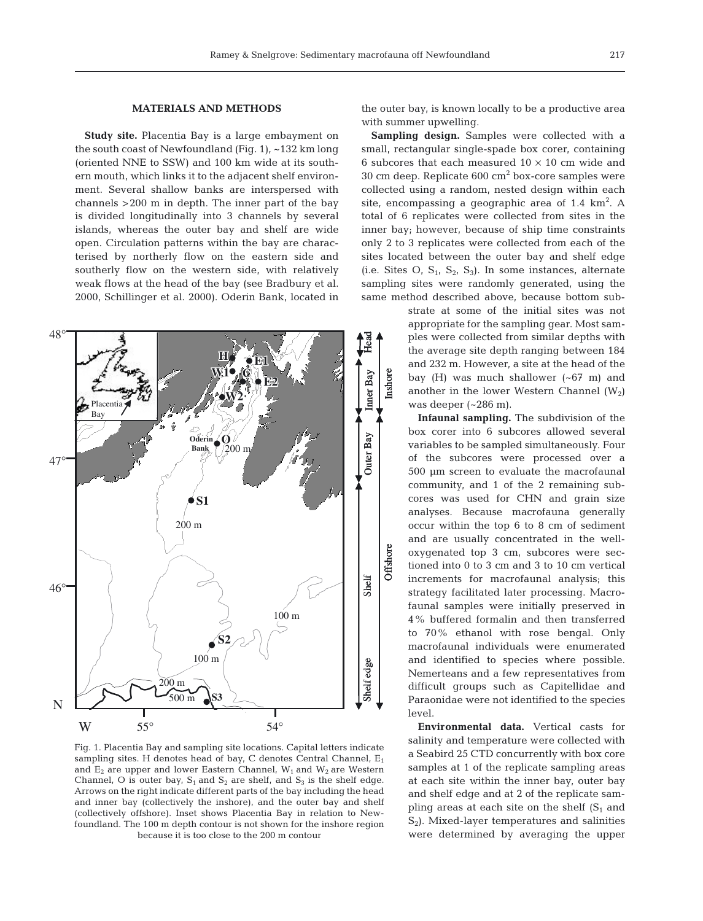### **MATERIALS AND METHODS**

**Study site.** Placentia Bay is a large embayment on the south coast of Newfoundland (Fig. 1),  $\sim$ 132 km long (oriented NNE to SSW) and 100 km wide at its southern mouth, which links it to the adjacent shelf environment. Several shallow banks are interspersed with channels >200 m in depth. The inner part of the bay is divided longitudinally into 3 channels by several islands, whereas the outer bay and shelf are wide open. Circulation patterns within the bay are characterised by northerly flow on the eastern side and southerly flow on the western side, with relatively weak flows at the head of the bay (see Bradbury et al. 2000, Schillinger et al. 2000). Oderin Bank, located in



Fig. 1. Placentia Bay and sampling site locations. Capital letters indicate sampling sites. H denotes head of bay, C denotes Central Channel,  $E_1$ and  $E_2$  are upper and lower Eastern Channel,  $W_1$  and  $W_2$  are Western Channel, O is outer bay,  $S_1$  and  $S_2$  are shelf, and  $S_3$  is the shelf edge. Arrows on the right indicate different parts of the bay including the head and inner bay (collectively the inshore), and the outer bay and shelf (collectively offshore). Inset shows Placentia Bay in relation to Newfoundland. The 100 m depth contour is not shown for the inshore region because it is too close to the 200 m contour

the outer bay, is known locally to be a productive area with summer upwelling.

**Sampling design.** Samples were collected with a small, rectangular single-spade box corer, containing 6 subcores that each measured  $10 \times 10$  cm wide and  $30 \text{ cm}$  deep. Replicate  $600 \text{ cm}^2$  box-core samples were collected using a random, nested design within each site, encompassing a geographic area of  $1.4 \text{ km}^2$ . A total of 6 replicates were collected from sites in the inner bay; however, because of ship time constraints only 2 to 3 replicates were collected from each of the sites located between the outer bay and shelf edge (i.e. Sites O,  $S_1$ ,  $S_2$ ,  $S_3$ ). In some instances, alternate sampling sites were randomly generated, using the same method described above, because bottom sub-

> strate at some of the initial sites was not appropriate for the sampling gear. Most samples were collected from similar depths with the average site depth ranging between 184 and 232 m. However, a site at the head of the bay (H) was much shallower (~67 m) and another in the lower Western Channel  $(W_2)$ was deeper (~286 m).

> **Infaunal sampling.** The subdivision of the box corer into 6 subcores allowed several variables to be sampled simultaneously. Four of the subcores were processed over a 500 µm screen to evaluate the macrofaunal community, and 1 of the 2 remaining subcores was used for CHN and grain size analyses. Because macrofauna generally occur within the top 6 to 8 cm of sediment and are usually concentrated in the welloxygenated top 3 cm, subcores were sectioned into 0 to 3 cm and 3 to 10 cm vertical increments for macrofaunal analysis; this strategy facilitated later processing. Macrofaunal samples were initially preserved in 4% buffered formalin and then transferred to 70% ethanol with rose bengal. Only macrofaunal individuals were enumerated and identified to species where possible. Nemerteans and a few representatives from difficult groups such as Capitellidae and Paraonidae were not identified to the species level.

> **Environmental data.** Vertical casts for salinity and temperature were collected with a Seabird 25 CTD concurrently with box core samples at 1 of the replicate sampling areas at each site within the inner bay, outer bay and shelf edge and at 2 of the replicate sampling areas at each site on the shelf  $(S_1$  and S<sub>2</sub>). Mixed-layer temperatures and salinities were determined by averaging the upper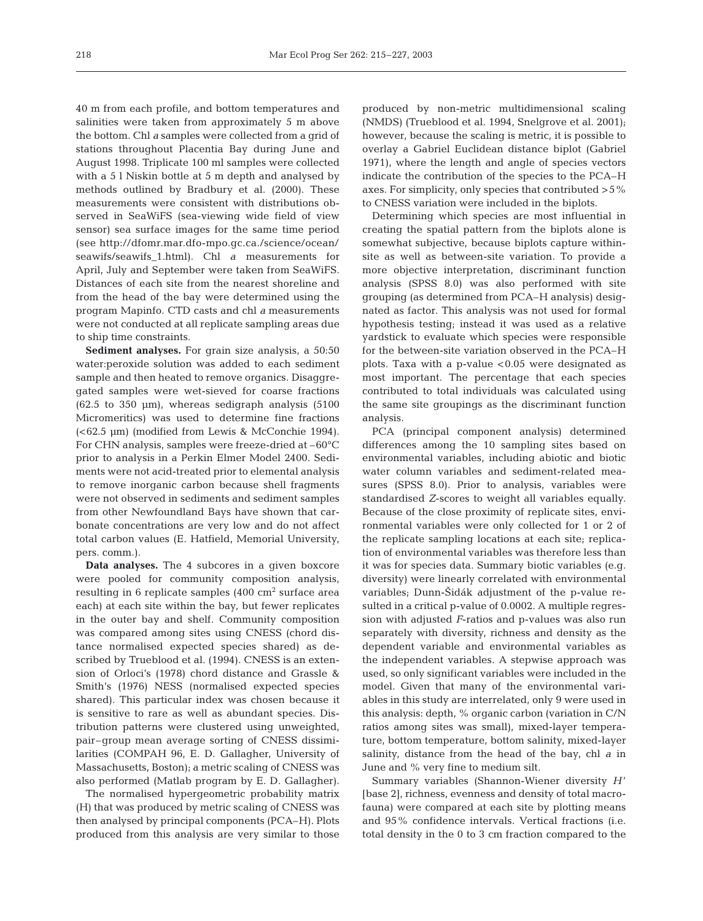40 m from each profile, and bottom temperatures and salinities were taken from approximately 5 m above the bottom. Chl *a* samples were collected from a grid of stations throughout Placentia Bay during June and August 1998. Triplicate 100 ml samples were collected with a 5 l Niskin bottle at 5 m depth and analysed by methods outlined by Bradbury et al. (2000). These measurements were consistent with distributions observed in SeaWiFS (sea-viewing wide field of view sensor) sea surface images for the same time period (see http://dfomr.mar.dfo-mpo.gc.ca./science/ocean/ seawifs/seawifs\_1.html). Chl *a* measurements for April, July and September were taken from SeaWiFS. Distances of each site from the nearest shoreline and from the head of the bay were determined using the program Mapinfo. CTD casts and chl *a* measurements were not conducted at all replicate sampling areas due to ship time constraints.

**Sediment analyses.** For grain size analysis, a 50:50 water:peroxide solution was added to each sediment sample and then heated to remove organics. Disaggregated samples were wet-sieved for coarse fractions  $(62.5 \text{ to } 350 \text{ \mu m})$ , whereas sedigraph analysis  $(5100 \text{ \mu m})$ Micromeritics) was used to determine fine fractions (<62.5 µm) (modified from Lewis & McConchie 1994). For CHN analysis, samples were freeze-dried at –60°C prior to analysis in a Perkin Elmer Model 2400. Sediments were not acid-treated prior to elemental analysis to remove inorganic carbon because shell fragments were not observed in sediments and sediment samples from other Newfoundland Bays have shown that carbonate concentrations are very low and do not affect total carbon values (E. Hatfield, Memorial University, pers. comm.).

**Data analyses.** The 4 subcores in a given boxcore were pooled for community composition analysis, resulting in 6 replicate samples  $(400 \text{ cm}^2 \text{ surface area})$ each) at each site within the bay, but fewer replicates in the outer bay and shelf. Community composition was compared among sites using CNESS (chord distance normalised expected species shared) as described by Trueblood et al. (1994). CNESS is an extension of Orloci's (1978) chord distance and Grassle & Smith's (1976) NESS (normalised expected species shared). This particular index was chosen because it is sensitive to rare as well as abundant species. Distribution patterns were clustered using unweighted, pair–group mean average sorting of CNESS dissimilarities (COMPAH 96, E. D. Gallagher, University of Massachusetts, Boston); a metric scaling of CNESS was also performed (Matlab program by E. D. Gallagher).

The normalised hypergeometric probability matrix (H) that was produced by metric scaling of CNESS was then analysed by principal components (PCA–H). Plots produced from this analysis are very similar to those

produced by non-metric multidimensional scaling (NMDS) (Trueblood et al. 1994, Snelgrove et al. 2001); however, because the scaling is metric, it is possible to overlay a Gabriel Euclidean distance biplot (Gabriel 1971), where the length and angle of species vectors indicate the contribution of the species to the PCA–H axes. For simplicity, only species that contributed  $>5\%$ to CNESS variation were included in the biplots.

Determining which species are most influential in creating the spatial pattern from the biplots alone is somewhat subjective, because biplots capture withinsite as well as between-site variation. To provide a more objective interpretation, discriminant function analysis (SPSS 8.0) was also performed with site grouping (as determined from PCA–H analysis) designated as factor. This analysis was not used for formal hypothesis testing; instead it was used as a relative yardstick to evaluate which species were responsible for the between-site variation observed in the PCA–H plots. Taxa with a p-value  $< 0.05$  were designated as most important. The percentage that each species contributed to total individuals was calculated using the same site groupings as the discriminant function analysis.

PCA (principal component analysis) determined differences among the 10 sampling sites based on environmental variables, including abiotic and biotic water column variables and sediment-related measures (SPSS 8.0). Prior to analysis, variables were standardised *Z*-scores to weight all variables equally. Because of the close proximity of replicate sites, environmental variables were only collected for 1 or 2 of the replicate sampling locations at each site; replication of environmental variables was therefore less than it was for species data. Summary biotic variables (e.g. diversity) were linearly correlated with environmental variables; Dunn-Šidák adjustment of the p-value resulted in a critical p-value of 0.0002. A multiple regression with adjusted *F*-ratios and p-values was also run separately with diversity, richness and density as the dependent variable and environmental variables as the independent variables. A stepwise approach was used, so only significant variables were included in the model. Given that many of the environmental variables in this study are interrelated, only 9 were used in this analysis: depth, % organic carbon (variation in C/N ratios among sites was small), mixed-layer temperature, bottom temperature, bottom salinity, mixed-layer salinity, distance from the head of the bay, chl *a* in June and % very fine to medium silt.

Summary variables (Shannon-Wiener diversity *H* ' [base 2], richness, evenness and density of total macrofauna) were compared at each site by plotting means and 95% confidence intervals. Vertical fractions (i.e. total density in the 0 to 3 cm fraction compared to the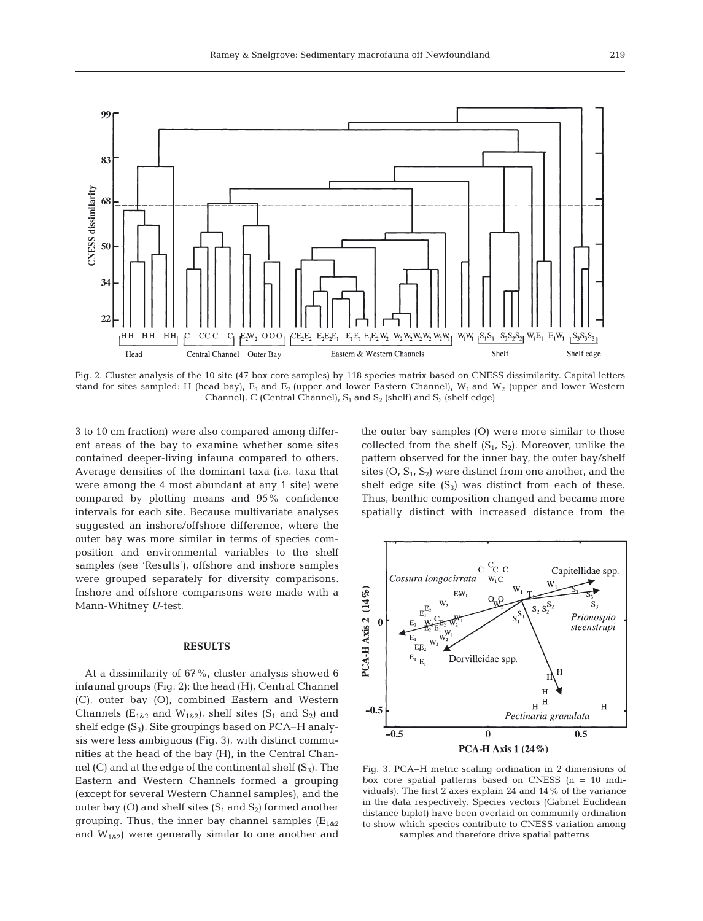

Fig. 2. Cluster analysis of the 10 site (47 box core samples) by 118 species matrix based on CNESS dissimilarity. Capital letters stand for sites sampled: H (head bay),  $E_1$  and  $E_2$  (upper and lower Eastern Channel),  $W_1$  and  $W_2$  (upper and lower Western Channel), C (Central Channel),  $S_1$  and  $S_2$  (shelf) and  $S_3$  (shelf edge)

3 to 10 cm fraction) were also compared among different areas of the bay to examine whether some sites contained deeper-living infauna compared to others. Average densities of the dominant taxa (i.e. taxa that were among the 4 most abundant at any 1 site) were compared by plotting means and 95% confidence intervals for each site. Because multivariate analyses suggested an inshore/offshore difference, where the outer bay was more similar in terms of species composition and environmental variables to the shelf samples (see 'Results'), offshore and inshore samples were grouped separately for diversity comparisons. Inshore and offshore comparisons were made with a Mann-Whitney *U*-test.

#### **RESULTS**

At a dissimilarity of 67%, cluster analysis showed 6 infaunal groups (Fig. 2): the head (H), Central Channel (C), outer bay (O), combined Eastern and Western Channels ( $E_{1\&2}$  and  $W_{1\&2}$ ), shelf sites ( $S_1$  and  $S_2$ ) and shelf edge  $(S_3)$ . Site groupings based on PCA–H analysis were less ambiguous (Fig. 3), with distinct communities at the head of the bay (H), in the Central Channel  $(C)$  and at the edge of the continental shelf  $(S_3)$ . The Eastern and Western Channels formed a grouping (except for several Western Channel samples), and the outer bay (O) and shelf sites  $(S_1 \text{ and } S_2)$  formed another grouping. Thus, the inner bay channel samples  $(E_{1\&2})$ and  $W_{1\&2}$ ) were generally similar to one another and

the outer bay samples (O) were more similar to those collected from the shelf  $(S_1, S_2)$ . Moreover, unlike the pattern observed for the inner bay, the outer bay/shelf sites  $(O, S_1, S_2)$  were distinct from one another, and the shelf edge site  $(S_3)$  was distinct from each of these. Thus, benthic composition changed and became more spatially distinct with increased distance from the



Fig. 3. PCA–H metric scaling ordination in 2 dimensions of box core spatial patterns based on CNESS (n = 10 individuals). The first 2 axes explain 24 and 14% of the variance in the data respectively. Species vectors (Gabriel Euclidean distance biplot) have been overlaid on community ordination to show which species contribute to CNESS variation among samples and therefore drive spatial patterns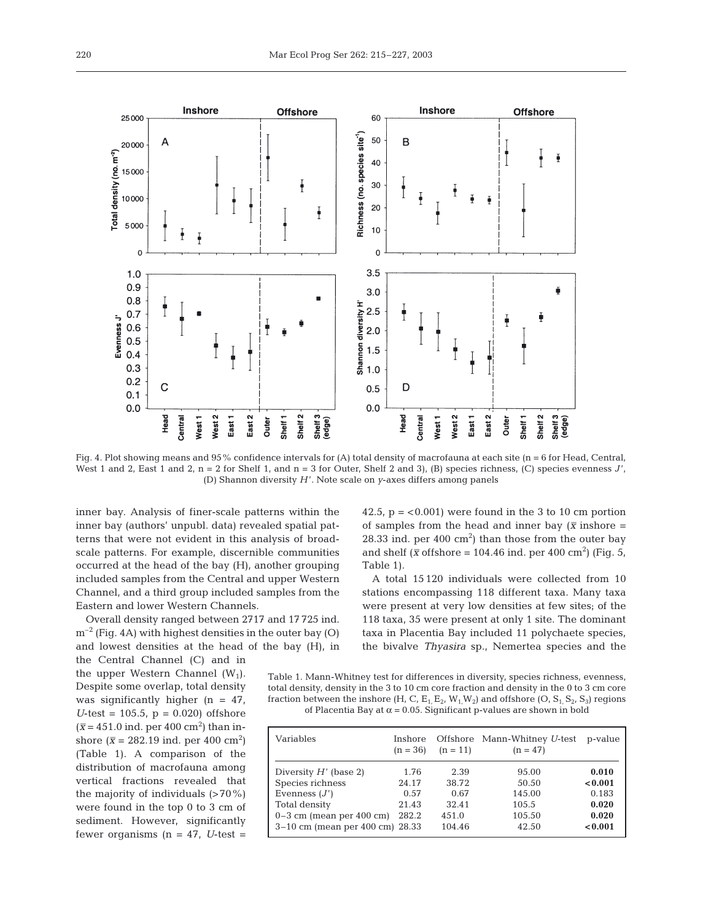Fig. 4. Plot showing means and 95% confidence intervals for (A) total density of macrofauna at each site (n = 6 for Head, Central, West 1 and 2, East 1 and 2,  $n = 2$  for Shelf 1, and  $n = 3$  for Outer, Shelf 2 and 3), (B) species richness, (C) species evenness  $J'$ , (D) Shannon diversity *H* '. Note scale on *y*-axes differs among panels

inner bay. Analysis of finer-scale patterns within the inner bay (authors' unpubl. data) revealed spatial patterns that were not evident in this analysis of broadscale patterns. For example, discernible communities occurred at the head of the bay (H), another grouping included samples from the Central and upper Western Channel, and a third group included samples from the Eastern and lower Western Channels.

Overall density ranged between 2717 and 17 725 ind.  $m^{-2}$  (Fig. 4A) with highest densities in the outer bay (O) and lowest densities at the head of the bay (H), in 42.5,  $p = < 0.001$ ) were found in the 3 to 10 cm portion of samples from the head and inner bay ( $\bar{x}$  inshore =  $28.33$  ind. per  $400 \text{ cm}^2$ ) than those from the outer bay and shelf ( $\bar{x}$  offshore = 104.46 ind. per 400 cm<sup>2</sup>) (Fig. 5, Table 1).

A total 15 120 individuals were collected from 10 stations encompassing 118 different taxa. Many taxa were present at very low densities at few sites; of the 118 taxa, 35 were present at only 1 site. The dominant taxa in Placentia Bay included 11 polychaete species, the bivalve *Thyasira* sp., Nemertea species and the

the Central Channel (C) and in the upper Western Channel  $(W_1)$ . Despite some overlap, total density was significantly higher  $(n = 47)$ ,  $U$ -test = 105.5,  $p = 0.020$ ) offshore  $(\bar{x} = 451.0 \text{ ind.} \text{ per } 400 \text{ cm}^2)$  than inshore  $(\bar{x} = 282.19 \text{ ind.} \text{ per } 400 \text{ cm}^2)$ (Table 1). A comparison of the distribution of macrofauna among vertical fractions revealed that the majority of individuals  $($ >70%) were found in the top 0 to 3 cm of sediment. However, significantly fewer organisms  $(n = 47, U-test =$ 

Table 1. Mann-Whitney test for differences in diversity, species richness, evenness, total density, density in the 3 to 10 cm core fraction and density in the 0 to 3 cm core fraction between the inshore  $(H, C, E_1, E_2, W_1, W_2)$  and offshore  $(O, S_1, S_2, S_3)$  regions of Placentia Bay at  $\alpha$  = 0.05. Significant p-values are shown in bold

| Variables                       | Inshore<br>$(n = 36)$ | $(n = 11)$ | Offshore Mann-Whitney U-test<br>$(n = 47)$ | p-value |
|---------------------------------|-----------------------|------------|--------------------------------------------|---------|
| Diversity $H'$ (base 2)         | 1.76                  | 2.39       | 95.00                                      | 0.010   |
| Species richness                | 24.17                 | 38.72      | 50.50                                      | < 0.001 |
| Evenness $(J')$                 | 0.57                  | 0.67       | 145.00                                     | 0.183   |
| Total density                   | 21.43                 | 32.41      | 105.5                                      | 0.020   |
| $0-3$ cm (mean per 400 cm)      | 282.2                 | 451.0      | 105.50                                     | 0.020   |
| 3-10 cm (mean per 400 cm) 28.33 |                       | 104.46     | 42.50                                      | < 0.001 |

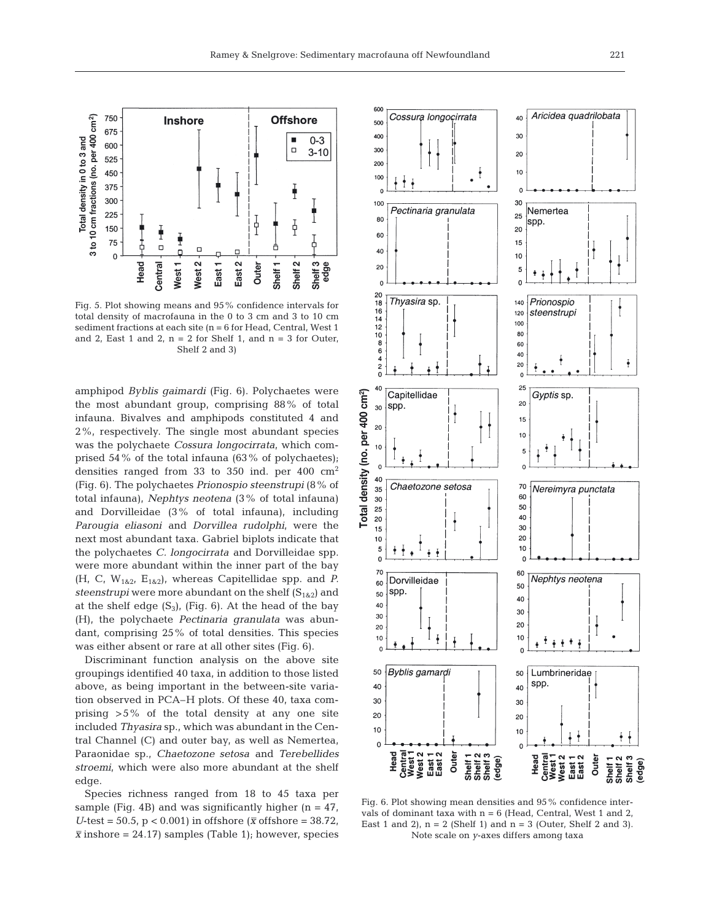

Fig. 5. Plot showing means and 95% confidence intervals for total density of macrofauna in the 0 to 3 cm and 3 to 10 cm sediment fractions at each site (n = 6 for Head, Central, West 1 and 2, East 1 and 2,  $n = 2$  for Shelf 1, and  $n = 3$  for Outer, Shelf 2 and 3)

amphipod *Byblis gaimardi* (Fig. 6). Polychaetes were the most abundant group, comprising 88% of total infauna. Bivalves and amphipods constituted 4 and 2%, respectively. The single most abundant species was the polychaete *Cossura longocirrata,* which comprised 54% of the total infauna (63% of polychaetes); densities ranged from 33 to 350 ind. per 400  $\text{cm}^2$ (Fig. 6). The polychaetes *Prionospio steenstrupi* (8% of total infauna), *Nephtys neotena* (3% of total infauna) and Dorvilleidae (3% of total infauna), including *Parougia eliasoni* and *Dorvillea rudolphi*, were the next most abundant taxa. Gabriel biplots indicate that the polychaetes *C. longocirrata* and Dorvilleidae spp. were more abundant within the inner part of the bay  $(H, C, W_{1\&2}, E_{1\&2}),$  whereas Capitellidae spp. and *P*. *steenstrupi* were more abundant on the shelf  $(S_{182})$  and at the shelf edge  $(S_3)$ , (Fig. 6). At the head of the bay (H), the polychaete *Pectinaria granulata* was abundant, comprising 25% of total densities. This species was either absent or rare at all other sites (Fig. 6).

Discriminant function analysis on the above site groupings identified 40 taxa, in addition to those listed above, as being important in the between-site variation observed in PCA–H plots. Of these 40, taxa comprising >5% of the total density at any one site included *Thyasira* sp., which was abundant in the Central Channel (C) and outer bay, as well as Nemertea, Paraonidae sp., *Chaetozone setosa* and *Terebellides stroemi,* which were also more abundant at the shelf edge.

Species richness ranged from 18 to 45 taxa per sample (Fig. 4B) and was significantly higher  $(n = 47)$ , *U*-test = 50.5,  $p < 0.001$ ) in offshore ( $\bar{x}$  offshore = 38.72,  $\bar{x}$  inshore = 24.17) samples (Table 1); however, species



Fig. 6. Plot showing mean densities and 95% confidence intervals of dominant taxa with  $n = 6$  (Head, Central, West 1 and 2, East 1 and 2),  $n = 2$  (Shelf 1) and  $n = 3$  (Outer, Shelf 2 and 3). Note scale on *y*-axes differs among taxa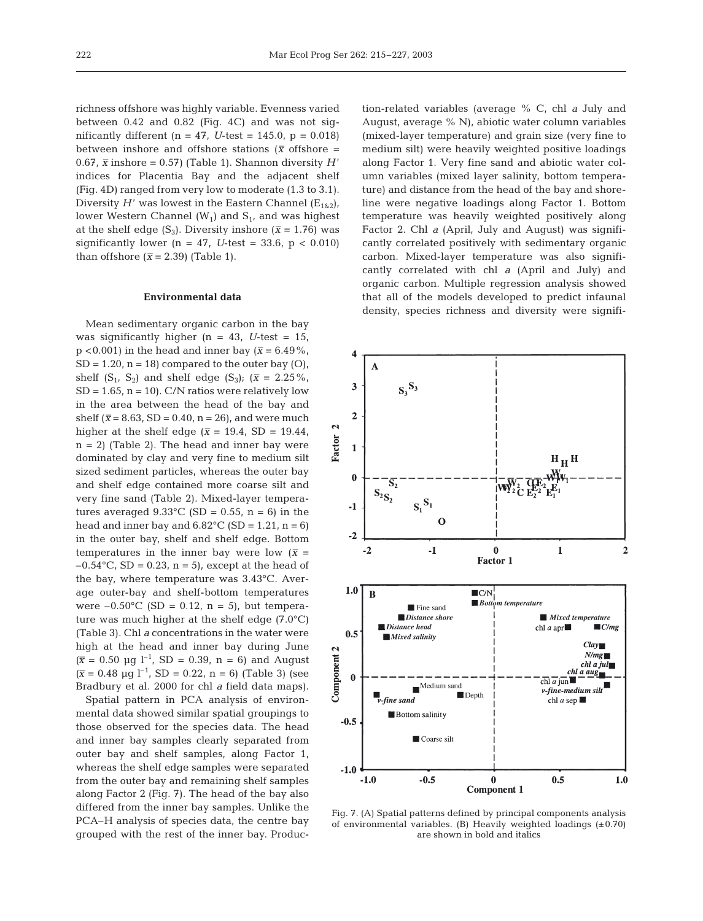richness offshore was highly variable. Evenness varied between 0.42 and 0.82 (Fig. 4C) and was not significantly different  $(n = 47, U-test = 145.0, p = 0.018)$ between inshore and offshore stations ( $\bar{x}$  offshore = 0.67,  $\bar{x}$  inshore = 0.57) (Table 1). Shannon diversity *H*' indices for Placentia Bay and the adjacent shelf (Fig. 4D) ranged from very low to moderate (1.3 to 3.1). Diversity  $H'$  was lowest in the Eastern Channel ( $E_{1\&2}$ ), lower Western Channel  $(W_1)$  and  $S_1$ , and was highest at the shelf edge (S<sub>3</sub>). Diversity inshore ( $\bar{x}$  = 1.76) was significantly lower  $(n = 47, U-test = 33.6, p < 0.010)$ than offshore  $(\bar{x} = 2.39)$  (Table 1).

### **Environmental data**

Mean sedimentary organic carbon in the bay was significantly higher  $(n = 43, U-test = 15,$  $p < 0.001$ ) in the head and inner bay ( $\bar{x} = 6.49\%$ ,  $SD = 1.20$ ,  $n = 18$ ) compared to the outer bay  $(O)$ , shelf  $(S_1, S_2)$  and shelf edge  $(S_3)$ ;  $(\bar{x} = 2.25\%$ ,  $SD = 1.65$ ,  $n = 10$ ). C/N ratios were relatively low in the area between the head of the bay and shelf ( $\bar{x}$  = 8.63, SD = 0.40, n = 26), and were much higher at the shelf edge ( $\bar{x}$  = 19.4, SD = 19.44,  $n = 2$ ) (Table 2). The head and inner bay were dominated by clay and very fine to medium silt sized sediment particles, whereas the outer bay and shelf edge contained more coarse silt and very fine sand (Table 2). Mixed-layer temperatures averaged  $9.33^{\circ}$ C (SD = 0.55, n = 6) in the head and inner bay and  $6.82^{\circ}$ C (SD = 1.21, n = 6) in the outer bay, shelf and shelf edge. Bottom temperatures in the inner bay were low  $(\bar{x} =$  $-0.54$ °C, SD = 0.23, n = 5), except at the head of the bay, where temperature was 3.43°C. Average outer-bay and shelf-bottom temperatures were  $-0.50^{\circ}$ C (SD = 0.12, n = 5), but temperature was much higher at the shelf edge (7.0°C) (Table 3). Chl *a* concentrations in the water were high at the head and inner bay during June  $(\bar{x} = 0.50 \text{ µg } l^{-1}$ , SD = 0.39, n = 6) and August  $(\bar{x} = 0.48 \text{ µq l}^{-1}, SD = 0.22, n = 6)$  (Table 3) (see Bradbury et al. 2000 for chl *a* field data maps).

Spatial pattern in PCA analysis of environmental data showed similar spatial groupings to those observed for the species data. The head and inner bay samples clearly separated from outer bay and shelf samples, along Factor 1, whereas the shelf edge samples were separated from the outer bay and remaining shelf samples along Factor 2 (Fig. 7). The head of the bay also differed from the inner bay samples. Unlike the PCA–H analysis of species data, the centre bay grouped with the rest of the inner bay. Produc-

tion-related variables (average % C, chl *a* July and August, average % N), abiotic water column variables (mixed-layer temperature) and grain size (very fine to medium silt) were heavily weighted positive loadings along Factor 1. Very fine sand and abiotic water column variables (mixed layer salinity, bottom temperature) and distance from the head of the bay and shoreline were negative loadings along Factor 1. Bottom temperature was heavily weighted positively along Factor 2. Chl *a* (April, July and August) was significantly correlated positively with sedimentary organic carbon. Mixed-layer temperature was also significantly correlated with chl *a* (April and July) and organic carbon. Multiple regression analysis showed that all of the models developed to predict infaunal density, species richness and diversity were signifi-



Fig. 7. (A) Spatial patterns defined by principal components analysis of environmental variables. (B) Heavily weighted loadings  $(\pm 0.70)$ are shown in bold and italics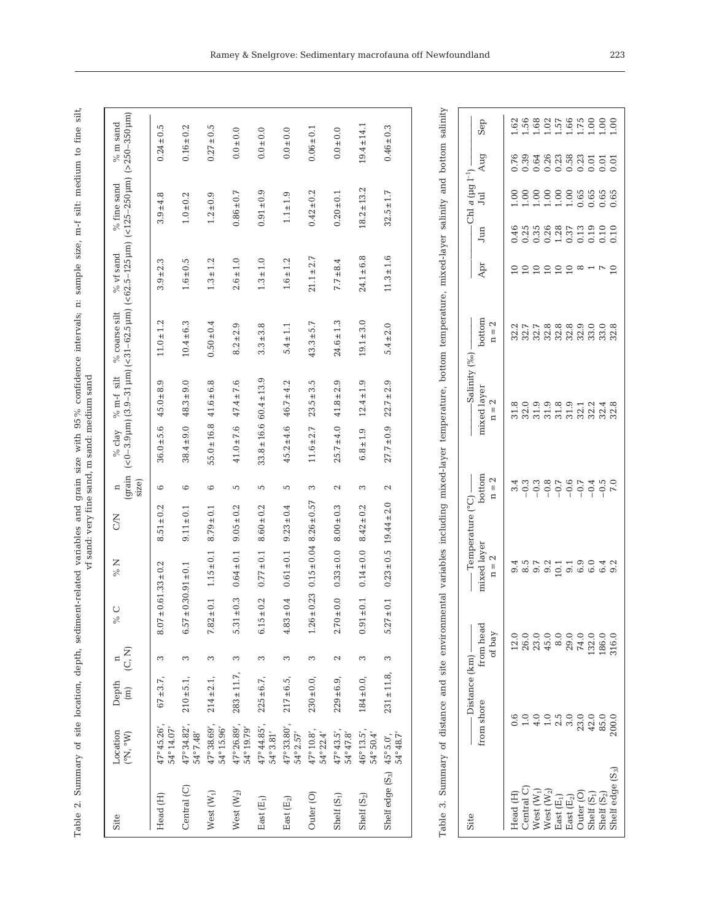Table 2. Summary of site location, depth, sediment-related variables and grain size with 95% confidence intervals; n: sample size, m-f silt: medium to fine silt,<br>of sand ware intervals and metallic sand was and medium sand Table 2. Summary of site location, depth, sediment-related variables and grain size with 95% confidence intervals; n: sample size, m-f silt: medium to fine silt, vf sand: very fine sand, m sand: medium sand

| $(>250-350 \,\mathrm{\mu m})$<br>$(<0-3.9$ µm) $(3.9-31$ µm) $(<31-62.5$ µm) $(<62.5-125$ µm) $(<125-250$ µm) | $0.24 \pm 0.5$<br>$3.9 \pm 4.8$   | $0.16 \pm 0.2$<br>$1.0 \pm 0.2$ | $0.27 \pm 0.5$<br>$1.2 \pm 0.9$ | $0.0 + 0.0$<br>$0.86 \pm 0.7$ | $0.0 \pm 0.0$<br>$0.91 \pm 0.9$ | $0.0 + 0.0$<br>$1.1 \pm 1.9$ | $0.06 \pm 0.1$<br>$0.42 \pm 0.2$ | $0.0 \pm 0.0$<br>$0.20 \pm 0.1$ | $19.4 \pm 14.1$<br>$18.2 \pm 13.2$ | $0.46 \pm 0.3$<br>$32.5 \pm 1.7$       |
|---------------------------------------------------------------------------------------------------------------|-----------------------------------|---------------------------------|---------------------------------|-------------------------------|---------------------------------|------------------------------|----------------------------------|---------------------------------|------------------------------------|----------------------------------------|
|                                                                                                               |                                   |                                 |                                 |                               |                                 |                              |                                  |                                 |                                    |                                        |
|                                                                                                               | $3.9 \pm 2.3$                     | $1.6 \pm 0.5$                   | $1.3 \pm 1.2$                   | $2.6 \pm 1.0$                 | $1.3 \pm 1.0$                   | $1.6 \pm 1.2$                | $21.1 \pm 2.7$                   | $7.7 \pm 8.4$                   | $24.1 \pm 6.8$                     | $11.3 \pm 1.6$                         |
|                                                                                                               | $11.0 \pm 1.2$                    | $10.4 + 6.3$                    | $0.50 \pm 0.4$                  | $8.2 \pm 2.9$                 | $3.3 \pm 3.8$                   | $5.4 \pm 1.1$                | $43.3 + 5.7$                     | $24.6 \pm 1.3$                  | $19.1 \pm 3.0$                     | $5.4 \pm 2.0$                          |
|                                                                                                               | $45.0 \pm 8.9$                    | $38.4 \pm 9.0$ 48.3 $\pm 9.0$   | $41.6 \pm 6.8$                  | $47.4 \pm 7.6$                | $33.8 \pm 16.6$ 60.4 $\pm$ 13.9 | $46.7 \pm 4.2$               | $23.5 + 3.5$                     | $41.8 \pm 2.9$                  | $12.4 \pm 1.9$                     | $22.7 \pm 2.9$                         |
| (grain                                                                                                        | $36.0 \pm 5.6$                    |                                 | $55.0 \pm 16.8$                 | $41.0 \pm 7.6$                |                                 | $45.2 \pm 4.6$               | $11.6 + 2.7$                     | $25.7 \pm 4.0$                  | $6.8 \pm 1.9$                      | $27.7 \pm 0.9$                         |
| size)                                                                                                         | 6                                 | 6                               | 6                               | 5                             | 5                               | 5                            | 3                                | 2                               | 3                                  | 2                                      |
|                                                                                                               | $8.51 \pm 0.2$                    | $9.11 \pm 0.1$                  | $8.79 \pm 0.1$                  | $9.05 \pm 0.2$                | $8.60 \pm 0.2$                  | $9.23 \pm 0.4$               | $0.15 \pm 0.04$ 8.26 $\pm 0.57$  | $8.00 \pm 0.3$                  | $8.42 \pm 0.2$                     | $0.23 \pm 0.5$ 19.44 $\pm 2.0$         |
|                                                                                                               | $\pm 0.61.33 \pm 0.2$             | $\pm 0.30.91 \pm 0.1$           | $1.15 \pm 0.1$                  | $0.64 \pm 0.1$                | $0.77 \pm 0.1$                  | $0.61 \pm 0.1$               |                                  | $0.33 \pm 0.0$                  | $0.14 \pm 0.0$                     |                                        |
|                                                                                                               | 8.07                              | 6.57                            | $\pm 0.1$<br>7.82               | $\pm 0.3$<br>5.31             | $\pm 0.2$<br>6.15               | $\pm 0.4$<br>4.83            | ± 0.23<br>1.26                   | $\pm 0.0$<br>2.70               | $\pm 0.1$<br>0.91                  | $\pm 0.1$<br>5.27                      |
| (C, N)                                                                                                        | S                                 | 3                               | 3                               | S                             | 3                               | 3                            | 3                                | 2                               | S                                  | S                                      |
| $\boxed{\Xi}$                                                                                                 | $67 + 3.7$ ,                      | $210 \pm 5.1$ ,                 | $214 \pm 2.1$ ,                 | $283 \pm 11.7$ ,              | $225 \pm 6.7$ ,                 | $217 \pm 6.5$ ,              | $230 \pm 0.0$ ,                  | $229 \pm 6.9$ ,                 | $184 \pm 0.0$ ,                    | $231 \pm 11.8$ ,                       |
| $({}^{\circ}N, {}^{\circ}W)$                                                                                  | 47°45.26',<br>$54^{\circ}$ 14.07' | 47°34.82',<br>54°7.48'          | 47°38.69',<br>54°15.96'         | 47°26.89',<br>54°19.79'       | 47°44.85',<br>$54^{\circ}3.81'$ | 47°33.80',<br>54° 2.57'      | 47°10.8',<br>54° 22.4'           | 47°43.5',<br>$54^{\circ}47.8'$  | 46°13.5',<br>$54^{\circ}50.4'$     | 54°48.7'                               |
|                                                                                                               | Head (H)                          | Central (C)                     | West $(W_1)$                    | West $(W_2)$                  | East $(E_1)$                    | East $(E_2)$                 | Outer <sub>(O)</sub>             | Shelf $(S_1)$                   | Shelf (S <sub>2</sub> )            | Shelf edge (S <sub>3</sub> ) 45° 5.0', |

| Site                                                                                                                                                      | $\overline{\phantom{a}}$ Distance (km) $\overline{\phantom{a}}$          |                     | $T$ emperature (°C) — |                          | -Salinity (%o)              |                                                      |                |              | Chl a $(\mu g I^{-1})$ |                                                |     |
|-----------------------------------------------------------------------------------------------------------------------------------------------------------|--------------------------------------------------------------------------|---------------------|-----------------------|--------------------------|-----------------------------|------------------------------------------------------|----------------|--------------|------------------------|------------------------------------------------|-----|
|                                                                                                                                                           | rom shore                                                                | from head<br>of bay | $n = 2$               | bottom<br>$\mathbf{n}=2$ | uxed layer<br>$n = 2$       | $\text{bottom}$<br>n = 2                             | Apr            | Jun          | ์<br>มี                | Aug                                            | Sep |
|                                                                                                                                                           | 0.6                                                                      |                     |                       |                          |                             |                                                      |                |              |                        |                                                |     |
| Head (H)<br>Central C                                                                                                                                     |                                                                          |                     |                       |                          |                             |                                                      |                |              |                        |                                                |     |
|                                                                                                                                                           |                                                                          |                     |                       |                          |                             |                                                      |                |              |                        |                                                |     |
|                                                                                                                                                           |                                                                          |                     |                       |                          |                             |                                                      | $\frac{0}{10}$ |              |                        |                                                |     |
|                                                                                                                                                           |                                                                          |                     |                       |                          |                             |                                                      | $\subseteq$    |              |                        |                                                |     |
|                                                                                                                                                           |                                                                          |                     |                       |                          |                             |                                                      | $\subseteq$    |              |                        |                                                |     |
|                                                                                                                                                           |                                                                          |                     |                       |                          |                             |                                                      | $\infty$       |              |                        |                                                |     |
|                                                                                                                                                           |                                                                          |                     |                       |                          |                             |                                                      |                |              |                        |                                                |     |
| West $(W_1)$<br>West $(W_2)$<br>West $(E_1)$<br>East $(E_2)$<br>East $(E_2)$<br>Outer (O)<br>Outer (O)<br>Shelf $(S_1)$<br>Shelf $(S_2)$<br>Shelf $(S_2)$ | $\begin{array}{c} 0.00000 \\ 1.00000 \\ 0.0000 \\ 0.0000 \\ \end{array}$ |                     |                       |                          | 800000001148<br>53555588888 | 2 1 1 1 2 3 3 4 5 6 6 7<br>2 3 4 5 6 7 8 7 8 7 8 7 8 |                | 48.888877920 |                        | 8 3 3 3 3 3 3 3 5 5 5<br>6 6 6 6 6 6 6 6 6 6 6 |     |
|                                                                                                                                                           |                                                                          |                     |                       |                          |                             |                                                      | $\supseteq$    |              |                        |                                                |     |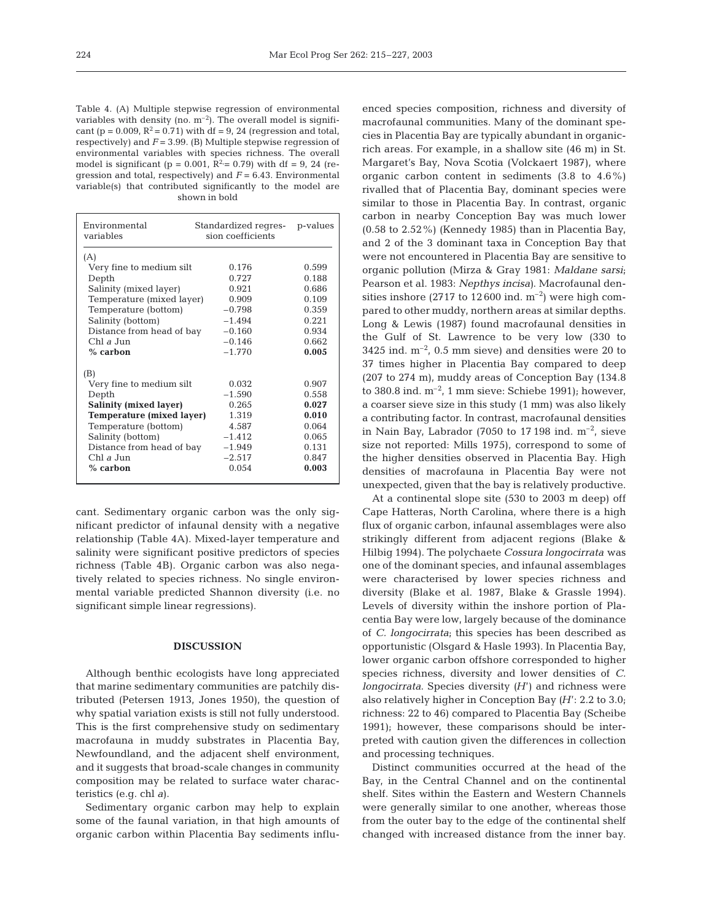Table 4. (A) Multiple stepwise regression of environmental variables with density (no.  $m^{-2}$ ). The overall model is significant (p = 0.009,  $R^2$  = 0.71) with df = 9, 24 (regression and total, respectively) and *F* = 3.99. (B) Multiple stepwise regression of environmental variables with species richness. The overall model is significant (p = 0.001,  $\bar{R}^2 = 0.79$ ) with df = 9, 24 (regression and total, respectively) and *F* = 6.43. Environmental variable(s) that contributed significantly to the model are shown in bold

| Environmental<br>variables       | Standardized regres- p-values<br>sion coefficients |       |
|----------------------------------|----------------------------------------------------|-------|
| (A)<br>Very fine to medium silt  | 0.176                                              | 0.599 |
| Depth                            | 0.727                                              | 0.188 |
| Salinity (mixed layer)           | 0.921                                              | 0.686 |
| Temperature (mixed layer)        | 0.909                                              | 0.109 |
| Temperature (bottom)             | $-0.798$                                           | 0.359 |
| Salinity (bottom)                | $-1.494$                                           | 0.221 |
| Distance from head of bay        | $-0.160$                                           | 0.934 |
| Chl $\alpha$ Jun                 | $-0.146$                                           | 0.662 |
| $%$ carbon                       | $-1.770$                                           | 0.005 |
| (B)                              |                                                    |       |
| Very fine to medium silt         | 0.032                                              | 0.907 |
| Depth                            | $-1.590$                                           | 0.558 |
| <b>Salinity (mixed layer)</b>    | 0.265                                              | 0.027 |
| <b>Temperature (mixed layer)</b> | 1.319                                              | 0.010 |
| Temperature (bottom)             | 4.587                                              | 0.064 |
| Salinity (bottom)                | $-1.412$                                           | 0.065 |
| Distance from head of bay        | $-1.949$                                           | 0.131 |
| Chl $\partial$ Jun               | $-2.517$                                           | 0.847 |
| $%$ carbon                       | 0.054                                              | 0.003 |
|                                  |                                                    |       |

cant. Sedimentary organic carbon was the only significant predictor of infaunal density with a negative relationship (Table 4A). Mixed-layer temperature and salinity were significant positive predictors of species richness (Table 4B). Organic carbon was also negatively related to species richness. No single environmental variable predicted Shannon diversity (i.e. no significant simple linear regressions).

#### **DISCUSSION**

Although benthic ecologists have long appreciated that marine sedimentary communities are patchily distributed (Petersen 1913, Jones 1950), the question of why spatial variation exists is still not fully understood. This is the first comprehensive study on sedimentary macrofauna in muddy substrates in Placentia Bay, Newfoundland, and the adjacent shelf environment, and it suggests that broad-scale changes in community composition may be related to surface water characteristics (e.g. chl *a*).

Sedimentary organic carbon may help to explain some of the faunal variation, in that high amounts of organic carbon within Placentia Bay sediments influ-

enced species composition, richness and diversity of macrofaunal communities. Many of the dominant species in Placentia Bay are typically abundant in organicrich areas. For example, in a shallow site (46 m) in St. Margaret's Bay, Nova Scotia (Volckaert 1987), where organic carbon content in sediments (3.8 to 4.6%) rivalled that of Placentia Bay, dominant species were similar to those in Placentia Bay. In contrast, organic carbon in nearby Conception Bay was much lower  $(0.58$  to  $2.52\%)$  (Kennedy 1985) than in Placentia Bay, and 2 of the 3 dominant taxa in Conception Bay that were not encountered in Placentia Bay are sensitive to organic pollution (Mirza & Gray 1981: *Maldane sarsi*; Pearson et al. 1983: *Nepthys incisa)*. Macrofaunal densities inshore (2717 to 12600 ind.  $m^{-2}$ ) were high compared to other muddy, northern areas at similar depths. Long & Lewis (1987) found macrofaunal densities in the Gulf of St. Lawrence to be very low (330 to 3425 ind.  $m^{-2}$ , 0.5 mm sieve) and densities were 20 to 37 times higher in Placentia Bay compared to deep (207 to 274 m), muddy areas of Conception Bay (134.8 to 380.8 ind.  $m^{-2}$ , 1 mm sieve: Schiebe 1991); however, a coarser sieve size in this study (1 mm) was also likely a contributing factor. In contrast, macrofaunal densities in Nain Bay, Labrador (7050 to 17 198 ind.  $m^{-2}$ , sieve size not reported: Mills 1975), correspond to some of the higher densities observed in Placentia Bay. High densities of macrofauna in Placentia Bay were not unexpected, given that the bay is relatively productive.

At a continental slope site (530 to 2003 m deep) off Cape Hatteras, North Carolina, where there is a high flux of organic carbon, infaunal assemblages were also strikingly different from adjacent regions (Blake & Hilbig 1994). The polychaete *Cossura longocirrata* was one of the dominant species, and infaunal assemblages were characterised by lower species richness and diversity (Blake et al. 1987, Blake & Grassle 1994). Levels of diversity within the inshore portion of Placentia Bay were low, largely because of the dominance of *C. longocirrata*; this species has been described as opportunistic (Olsgard & Hasle 1993). In Placentia Bay, lower organic carbon offshore corresponded to higher species richness, diversity and lower densities of *C. longocirrata*. Species diversity *(H*') and richness were also relatively higher in Conception Bay *(H*': 2.2 to 3.0; richness: 22 to 46) compared to Placentia Bay (Scheibe 1991); however, these comparisons should be interpreted with caution given the differences in collection and processing techniques.

Distinct communities occurred at the head of the Bay, in the Central Channel and on the continental shelf. Sites within the Eastern and Western Channels were generally similar to one another, whereas those from the outer bay to the edge of the continental shelf changed with increased distance from the inner bay.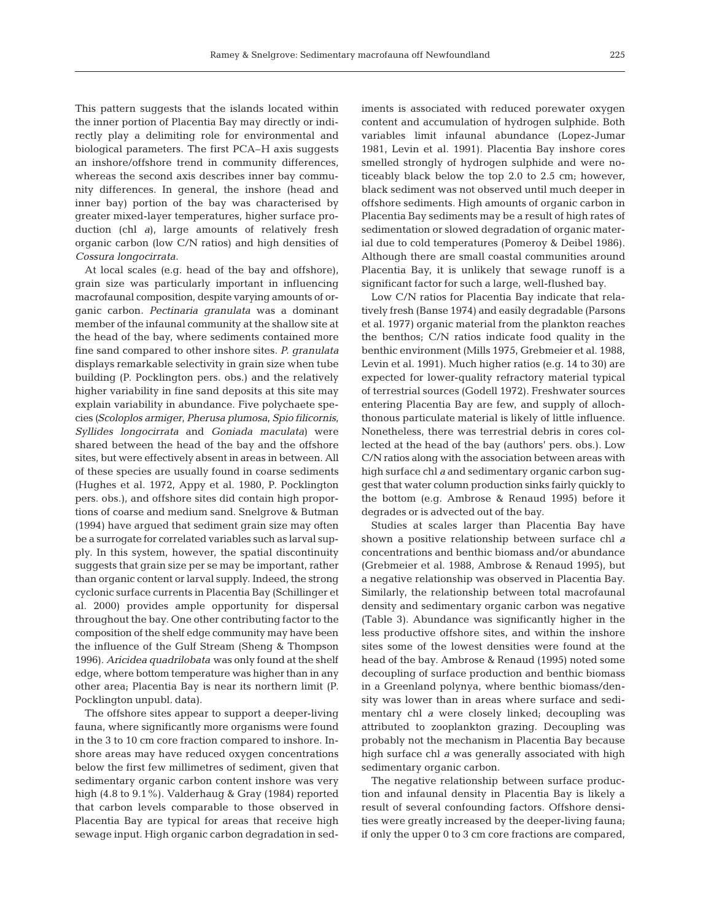This pattern suggests that the islands located within the inner portion of Placentia Bay may directly or indirectly play a delimiting role for environmental and biological parameters. The first PCA–H axis suggests an inshore/offshore trend in community differences, whereas the second axis describes inner bay community differences. In general, the inshore (head and inner bay) portion of the bay was characterised by greater mixed-layer temperatures, higher surface production (chl *a*), large amounts of relatively fresh organic carbon (low C/N ratios) and high densities of *Cossura longocirrata*.

At local scales (e.g. head of the bay and offshore), grain size was particularly important in influencing macrofaunal composition, despite varying amounts of organic carbon. *Pectinaria granulata* was a dominant member of the infaunal community at the shallow site at the head of the bay, where sediments contained more fine sand compared to other inshore sites. *P. granulata* displays remarkable selectivity in grain size when tube building (P. Pocklington pers. obs.) and the relatively higher variability in fine sand deposits at this site may explain variability in abundance. Five polychaete species *(Scoloplos armiger*, *Pherusa plumosa*, *Spio filicornis, Syllides longocirrata* and *Goniada maculata)* were shared between the head of the bay and the offshore sites, but were effectively absent in areas in between. All of these species are usually found in coarse sediments (Hughes et al. 1972, Appy et al. 1980, P. Pocklington pers. obs.), and offshore sites did contain high proportions of coarse and medium sand. Snelgrove & Butman (1994) have argued that sediment grain size may often be a surrogate for correlated variables such as larval supply. In this system, however, the spatial discontinuity suggests that grain size per se may be important, rather than organic content or larval supply. Indeed, the strong cyclonic surface currents in Placentia Bay (Schillinger et al. 2000) provides ample opportunity for dispersal throughout the bay. One other contributing factor to the composition of the shelf edge community may have been the influence of the Gulf Stream (Sheng & Thompson 1996). *Aricidea quadrilobata* was only found at the shelf edge, where bottom temperature was higher than in any other area; Placentia Bay is near its northern limit (P. Pocklington unpubl. data).

The offshore sites appear to support a deeper-living fauna, where significantly more organisms were found in the 3 to 10 cm core fraction compared to inshore. Inshore areas may have reduced oxygen concentrations below the first few millimetres of sediment, given that sedimentary organic carbon content inshore was very high (4.8 to 9.1%). Valderhaug & Gray (1984) reported that carbon levels comparable to those observed in Placentia Bay are typical for areas that receive high sewage input. High organic carbon degradation in sediments is associated with reduced porewater oxygen content and accumulation of hydrogen sulphide. Both variables limit infaunal abundance (Lopez-Jumar 1981, Levin et al. 1991). Placentia Bay inshore cores smelled strongly of hydrogen sulphide and were noticeably black below the top 2.0 to 2.5 cm; however, black sediment was not observed until much deeper in offshore sediments. High amounts of organic carbon in Placentia Bay sediments may be a result of high rates of sedimentation or slowed degradation of organic material due to cold temperatures (Pomeroy & Deibel 1986). Although there are small coastal communities around Placentia Bay, it is unlikely that sewage runoff is a significant factor for such a large, well-flushed bay.

Low C/N ratios for Placentia Bay indicate that relatively fresh (Banse 1974) and easily degradable (Parsons et al. 1977) organic material from the plankton reaches the benthos; C/N ratios indicate food quality in the benthic environment (Mills 1975, Grebmeier et al. 1988, Levin et al. 1991). Much higher ratios (e.g. 14 to 30) are expected for lower-quality refractory material typical of terrestrial sources (Godell 1972). Freshwater sources entering Placentia Bay are few, and supply of allochthonous particulate material is likely of little influence. Nonetheless, there was terrestrial debris in cores collected at the head of the bay (authors' pers. obs.). Low C/N ratios along with the association between areas with high surface chl *a* and sedimentary organic carbon suggest that water column production sinks fairly quickly to the bottom (e.g. Ambrose & Renaud 1995) before it degrades or is advected out of the bay.

Studies at scales larger than Placentia Bay have shown a positive relationship between surface chl *a* concentrations and benthic biomass and/or abundance (Grebmeier et al. 1988, Ambrose & Renaud 1995), but a negative relationship was observed in Placentia Bay. Similarly, the relationship between total macrofaunal density and sedimentary organic carbon was negative (Table 3). Abundance was significantly higher in the less productive offshore sites, and within the inshore sites some of the lowest densities were found at the head of the bay. Ambrose & Renaud (1995) noted some decoupling of surface production and benthic biomass in a Greenland polynya, where benthic biomass/density was lower than in areas where surface and sedimentary chl *a* were closely linked; decoupling was attributed to zooplankton grazing. Decoupling was probably not the mechanism in Placentia Bay because high surface chl *a* was generally associated with high sedimentary organic carbon.

The negative relationship between surface production and infaunal density in Placentia Bay is likely a result of several confounding factors. Offshore densities were greatly increased by the deeper-living fauna; if only the upper 0 to 3 cm core fractions are compared,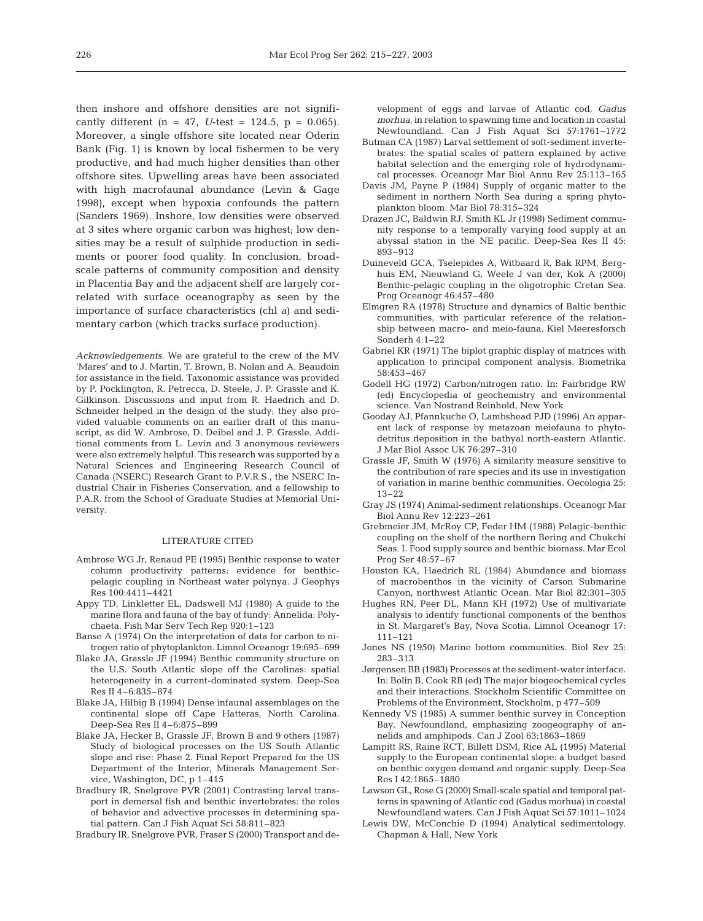then inshore and offshore densities are not significantly different  $(n = 47, U-test = 124.5, p = 0.065)$ . Moreover, a single offshore site located near Oderin Bank (Fig. 1) is known by local fishermen to be very productive, and had much higher densities than other offshore sites. Upwelling areas have been associated with high macrofaunal abundance (Levin & Gage 1998), except when hypoxia confounds the pattern (Sanders 1969). Inshore, low densities were observed at 3 sites where organic carbon was highest; low densities may be a result of sulphide production in sediments or poorer food quality. In conclusion, broadscale patterns of community composition and density in Placentia Bay and the adjacent shelf are largely correlated with surface oceanography as seen by the importance of surface characteristics (chl *a*) and sedimentary carbon (which tracks surface production).

*Acknowledgements.* We are grateful to the crew of the MV 'Mares' and to J. Martin, T. Brown, B. Nolan and A. Beaudoin for assistance in the field. Taxonomic assistance was provided by P. Pocklington, R. Petrecca, D. Steele, J. P. Grassle and K. Gilkinson. Discussions and input from R. Haedrich and D. Schneider helped in the design of the study; they also provided valuable comments on an earlier draft of this manuscript, as did W. Ambrose, D. Deibel and J. P. Grassle. Additional comments from L. Levin and 3 anonymous reviewers were also extremely helpful. This research was supported by a Natural Sciences and Engineering Research Council of Canada (NSERC) Research Grant to P.V.R.S., the NSERC Industrial Chair in Fisheries Conservation, and a fellowship to P.A.R. from the School of Graduate Studies at Memorial University.

#### LITERATURE CITED

- Ambrose WG Jr, Renaud PE (1995) Benthic response to water column productivity patterns: evidence for benthicpelagic coupling in Northeast water polynya. J Geophys Res 100:4411–4421
- Appy TD, Linkletter EL, Dadswell MJ (1980) A guide to the marine flora and fauna of the bay of fundy: Annelida: Polychaeta. Fish Mar Serv Tech Rep 920:1–123
- Banse A (1974) On the interpretation of data for carbon to nitrogen ratio of phytoplankton. Limnol Oceanogr 19:695–699
- Blake JA, Grassle JF (1994) Benthic community structure on the U.S. South Atlantic slope off the Carolinas: spatial heterogeneity in a current-dominated system. Deep-Sea Res II 4–6:835–874
- Blake JA, Hilbig B (1994) Dense infaunal assemblages on the continental slope off Cape Hatteras, North Carolina. Deep-Sea Res II 4–6:875–899
- Blake JA, Hecker B, Grassle JF, Brown B and 9 others (1987) Study of biological processes on the US South Atlantic slope and rise: Phase 2. Final Report Prepared for the US Department of the Interior, Minerals Management Service, Washington, DC, p 1–415
- Bradbury IR, Snelgrove PVR (2001) Contrasting larval transport in demersal fish and benthic invertebrates: the roles of behavior and advective processes in determining spatial pattern. Can J Fish Aquat Sci 58:811–823

Bradbury IR, Snelgrove PVR, Fraser S (2000) Transport and de-

velopment of eggs and larvae of Atlantic cod, *Gadus morhua*, in relation to spawning time and location in coastal Newfoundland. Can J Fish Aquat Sci 57:1761–1772

- Butman CA (1987) Larval settlement of soft-sediment invertebrates: the spatial scales of pattern explained by active habitat selection and the emerging role of hydrodynamical processes. Oceanogr Mar Biol Annu Rev 25:113–165
- Davis JM, Payne P (1984) Supply of organic matter to the sediment in northern North Sea during a spring phytoplankton bloom. Mar Biol 78:315–324
- Drazen JC, Baldwin RJ, Smith KL Jr (1998) Sediment community response to a temporally varying food supply at an abyssal station in the NE pacific. Deep-Sea Res II 45: 893–913
- Duineveld GCA, Tselepides A, Witbaard R, Bak RPM, Berghuis EM, Nieuwland G, Weele J van der, Kok A (2000) Benthic-pelagic coupling in the oligotrophic Cretan Sea. Prog Oceanogr 46:457–480
- Elmgren RA (1978) Structure and dynamics of Baltic benthic communities, with particular reference of the relationship between macro- and meio-fauna. Kiel Meeresforsch Sonderh 4:1–22
- Gabriel KR (1971) The biplot graphic display of matrices with application to principal component analysis. Biometrika 58:453–467
- Godell HG (1972) Carbon/nitrogen ratio. In: Fairbridge RW (ed) Encyclopedia of geochemistry and environmental science. Van Nostrand Reinhold, New York
- Gooday AJ, Pfannkuche O, Lambshead PJD (1996) An apparent lack of response by metazoan meiofauna to phytodetritus deposition in the bathyal north-eastern Atlantic. J Mar Biol Assoc UK 76:297–310
- Grassle JF, Smith W (1976) A similarity measure sensitive to the contribution of rare species and its use in investigation of variation in marine benthic communities. Oecologia 25: 13–22
- Gray JS (1974) Animal-sediment relationships. Oceanogr Mar Biol Annu Rev 12:223–261
- Grebmeier JM, McRoy CP, Feder HM (1988) Pelagic-benthic coupling on the shelf of the northern Bering and Chukchi Seas. I. Food supply source and benthic biomass. Mar Ecol Prog Ser 48:57–67
- Houston KA, Haedrich RL (1984) Abundance and biomass of macrobenthos in the vicinity of Carson Submarine Canyon, northwest Atlantic Ocean. Mar Biol 82:301–305
- Hughes RN, Peer DL, Mann KH (1972) Use of multivariate analysis to identify functional components of the benthos in St. Margaret's Bay, Nova Scotia. Limnol Oceanogr 17: 111–121
- Jones NS (1950) Marine bottom communities. Biol Rev 25: 283–313
- Jørgensen BB (1983) Processes at the sediment-water interface. In: Bolin B, Cook RB (ed) The major biogeochemical cycles and their interactions. Stockholm Scientific Committee on Problems of the Environment, Stockholm, p 477–509
- Kennedy VS (1985) A summer benthic survey in Conception Bay, Newfoundland, emphasizing zoogeography of annelids and amphipods*.* Can J Zool 63:1863–1869
- Lampitt RS, Raine RCT, Billett DSM, Rice AL (1995) Material supply to the European continental slope: a budget based on benthic oxygen demand and organic supply. Deep-Sea Res I 42:1865–1880
- Lawson GL, Rose G (2000) Small-scale spatial and temporal patterns in spawning of Atlantic cod (Gadus morhua) in coastal Newfoundland waters. Can J Fish Aquat Sci 57:1011–1024
- Lewis DW, McConchie D (1994) Analytical sedimentology. Chapman & Hall, New York